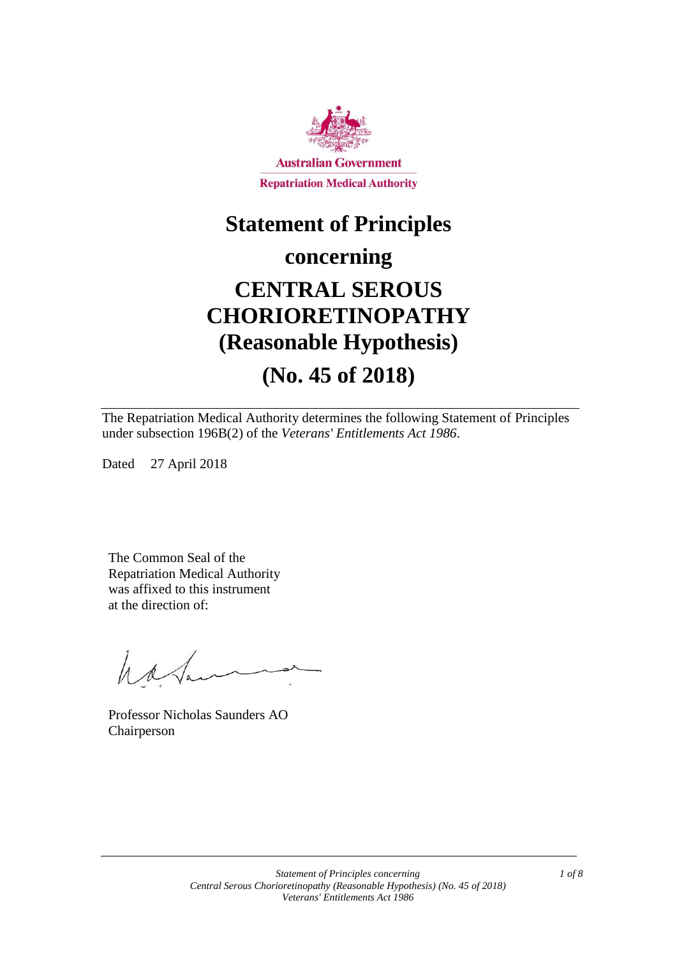

# **Statement of Principles**

### **concerning**

# **CENTRAL SEROUS CHORIORETINOPATHY (Reasonable Hypothesis) (No. 45 of 2018)**

The Repatriation Medical Authority determines the following Statement of Principles under subsection 196B(2) of the *Veterans' Entitlements Act 1986*.

Dated 27 April 2018

The Common Seal of the Repatriation Medical Authority was affixed to this instrument at the direction of:

have

Professor Nicholas Saunders AO Chairperson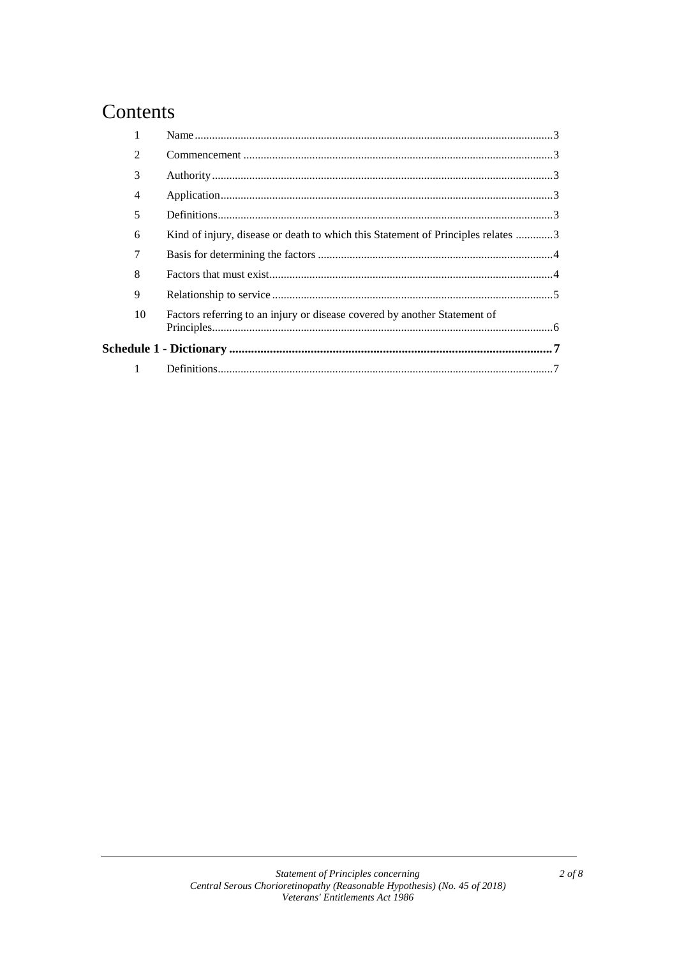### Contents

| 2            |    |                                                                                  |  |
|--------------|----|----------------------------------------------------------------------------------|--|
| 3            |    |                                                                                  |  |
| 4            |    |                                                                                  |  |
| 5            |    |                                                                                  |  |
| 6            |    | Kind of injury, disease or death to which this Statement of Principles relates 3 |  |
| 7            |    |                                                                                  |  |
| 8            |    |                                                                                  |  |
| 9            |    |                                                                                  |  |
|              | 10 | Factors referring to an injury or disease covered by another Statement of        |  |
|              |    |                                                                                  |  |
| $\mathbf{1}$ |    |                                                                                  |  |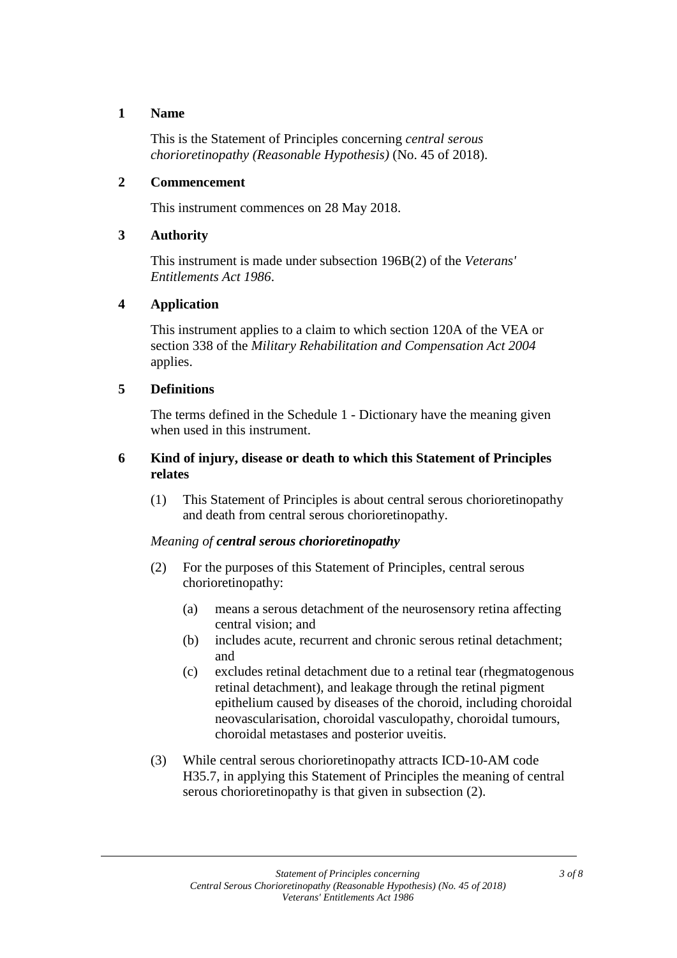#### **1 Name**

This is the Statement of Principles concerning *central serous chorioretinopathy (Reasonable Hypothesis)* (No. 45 of 2018).

#### **2 Commencement**

This instrument commences on 28 May 2018.

#### **3 Authority**

This instrument is made under subsection 196B(2) of the *Veterans' Entitlements Act 1986*.

#### **4 Application**

This instrument applies to a claim to which section 120A of the VEA or section 338 of the *Military Rehabilitation and Compensation Act 2004* applies.

#### **5 Definitions**

The terms defined in the Schedule 1 - Dictionary have the meaning given when used in this instrument.

#### **6 Kind of injury, disease or death to which this Statement of Principles relates**

(1) This Statement of Principles is about central serous chorioretinopathy and death from central serous chorioretinopathy.

#### *Meaning of central serous chorioretinopathy*

- (2) For the purposes of this Statement of Principles, central serous chorioretinopathy:
	- (a) means a serous detachment of the neurosensory retina affecting central vision; and
	- (b) includes acute, recurrent and chronic serous retinal detachment; and
	- (c) excludes retinal detachment due to a retinal tear (rhegmatogenous retinal detachment), and leakage through the retinal pigment epithelium caused by diseases of the choroid, including choroidal neovascularisation, choroidal vasculopathy, choroidal tumours, choroidal metastases and posterior uveitis.
- (3) While central serous chorioretinopathy attracts ICD-10-AM code H35.7, in applying this Statement of Principles the meaning of central serous chorioretinopathy is that given in subsection (2).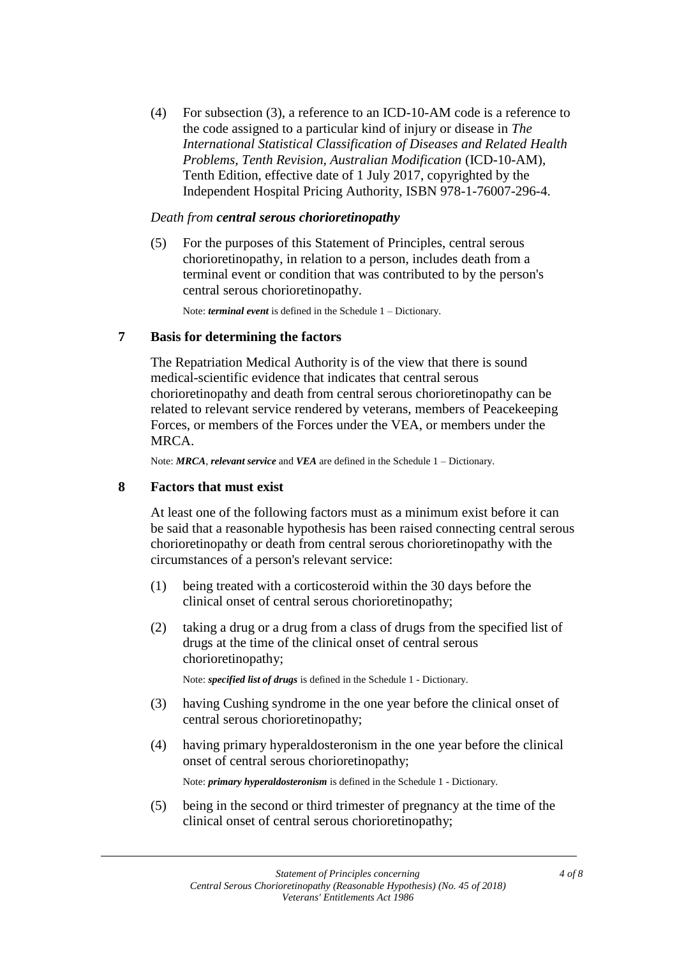(4) For subsection (3), a reference to an ICD-10-AM code is a reference to the code assigned to a particular kind of injury or disease in *The International Statistical Classification of Diseases and Related Health Problems, Tenth Revision, Australian Modification* (ICD-10-AM), Tenth Edition, effective date of 1 July 2017, copyrighted by the Independent Hospital Pricing Authority, ISBN 978-1-76007-296-4.

#### *Death from central serous chorioretinopathy*

(5) For the purposes of this Statement of Principles, central serous chorioretinopathy, in relation to a person, includes death from a terminal event or condition that was contributed to by the person's central serous chorioretinopathy.

Note: *terminal event* is defined in the Schedule 1 – Dictionary.

#### **7 Basis for determining the factors**

The Repatriation Medical Authority is of the view that there is sound medical-scientific evidence that indicates that central serous chorioretinopathy and death from central serous chorioretinopathy can be related to relevant service rendered by veterans, members of Peacekeeping Forces, or members of the Forces under the VEA, or members under the MRCA.

Note: *MRCA*, *relevant service* and *VEA* are defined in the Schedule 1 – Dictionary.

#### **8 Factors that must exist**

At least one of the following factors must as a minimum exist before it can be said that a reasonable hypothesis has been raised connecting central serous chorioretinopathy or death from central serous chorioretinopathy with the circumstances of a person's relevant service:

- (1) being treated with a corticosteroid within the 30 days before the clinical onset of central serous chorioretinopathy;
- (2) taking a drug or a drug from a class of drugs from the specified list of drugs at the time of the clinical onset of central serous chorioretinopathy;

Note: *specified list of drugs* is defined in the Schedule 1 - Dictionary.

- (3) having Cushing syndrome in the one year before the clinical onset of central serous chorioretinopathy;
- (4) having primary hyperaldosteronism in the one year before the clinical onset of central serous chorioretinopathy;

Note: *primary hyperaldosteronism* is defined in the Schedule 1 - Dictionary.

(5) being in the second or third trimester of pregnancy at the time of the clinical onset of central serous chorioretinopathy;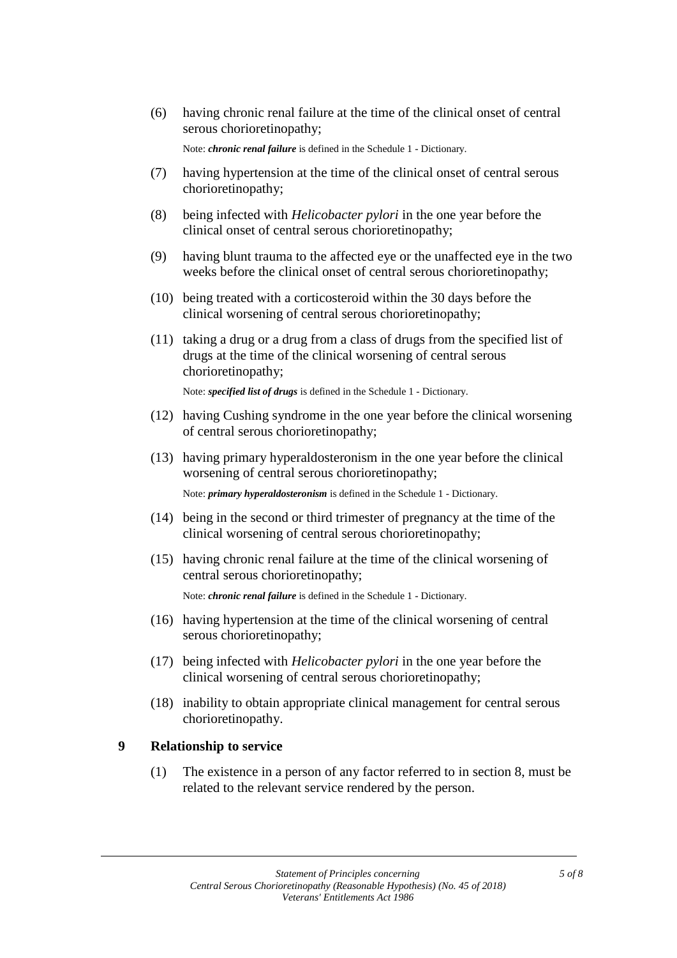(6) having chronic renal failure at the time of the clinical onset of central serous chorioretinopathy;

Note: *chronic renal failure* is defined in the Schedule 1 - Dictionary.

- (7) having hypertension at the time of the clinical onset of central serous chorioretinopathy;
- (8) being infected with *Helicobacter pylori* in the one year before the clinical onset of central serous chorioretinopathy;
- (9) having blunt trauma to the affected eye or the unaffected eye in the two weeks before the clinical onset of central serous chorioretinopathy;
- (10) being treated with a corticosteroid within the 30 days before the clinical worsening of central serous chorioretinopathy;
- (11) taking a drug or a drug from a class of drugs from the specified list of drugs at the time of the clinical worsening of central serous chorioretinopathy;

Note: *specified list of drugs* is defined in the Schedule 1 - Dictionary.

- (12) having Cushing syndrome in the one year before the clinical worsening of central serous chorioretinopathy;
- (13) having primary hyperaldosteronism in the one year before the clinical worsening of central serous chorioretinopathy;

Note: *primary hyperaldosteronism* is defined in the Schedule 1 - Dictionary.

- (14) being in the second or third trimester of pregnancy at the time of the clinical worsening of central serous chorioretinopathy;
- (15) having chronic renal failure at the time of the clinical worsening of central serous chorioretinopathy;

Note: *chronic renal failure* is defined in the Schedule 1 - Dictionary.

- (16) having hypertension at the time of the clinical worsening of central serous chorioretinopathy;
- (17) being infected with *Helicobacter pylori* in the one year before the clinical worsening of central serous chorioretinopathy;
- (18) inability to obtain appropriate clinical management for central serous chorioretinopathy.

#### **9 Relationship to service**

(1) The existence in a person of any factor referred to in section 8, must be related to the relevant service rendered by the person.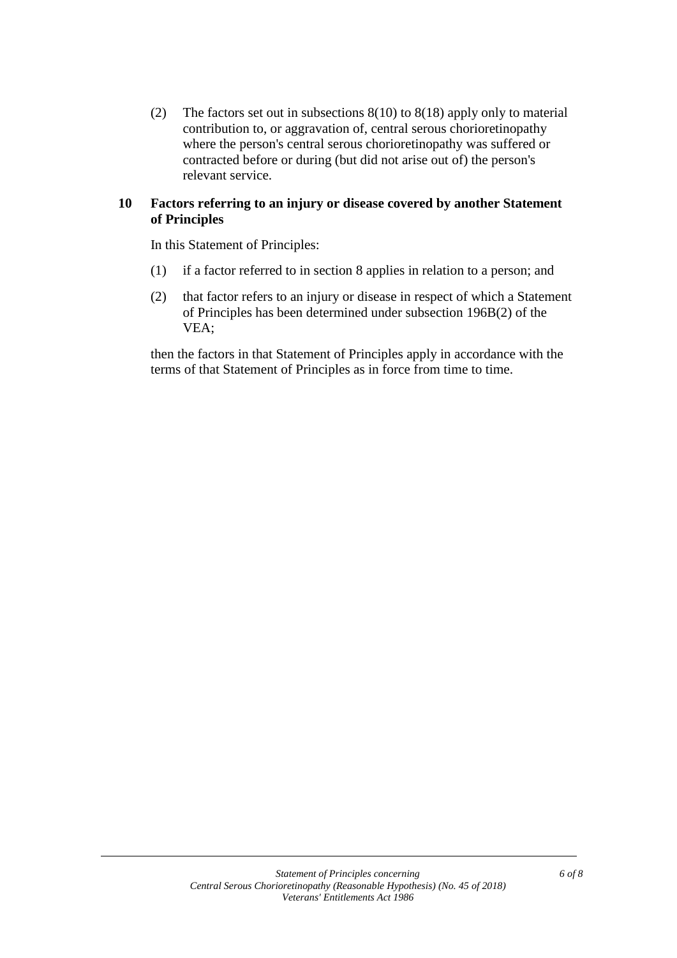(2) The factors set out in subsections 8(10) to 8(18) apply only to material contribution to, or aggravation of, central serous chorioretinopathy where the person's central serous chorioretinopathy was suffered or contracted before or during (but did not arise out of) the person's relevant service.

#### **10 Factors referring to an injury or disease covered by another Statement of Principles**

In this Statement of Principles:

- (1) if a factor referred to in section 8 applies in relation to a person; and
- (2) that factor refers to an injury or disease in respect of which a Statement of Principles has been determined under subsection 196B(2) of the VEA;

then the factors in that Statement of Principles apply in accordance with the terms of that Statement of Principles as in force from time to time.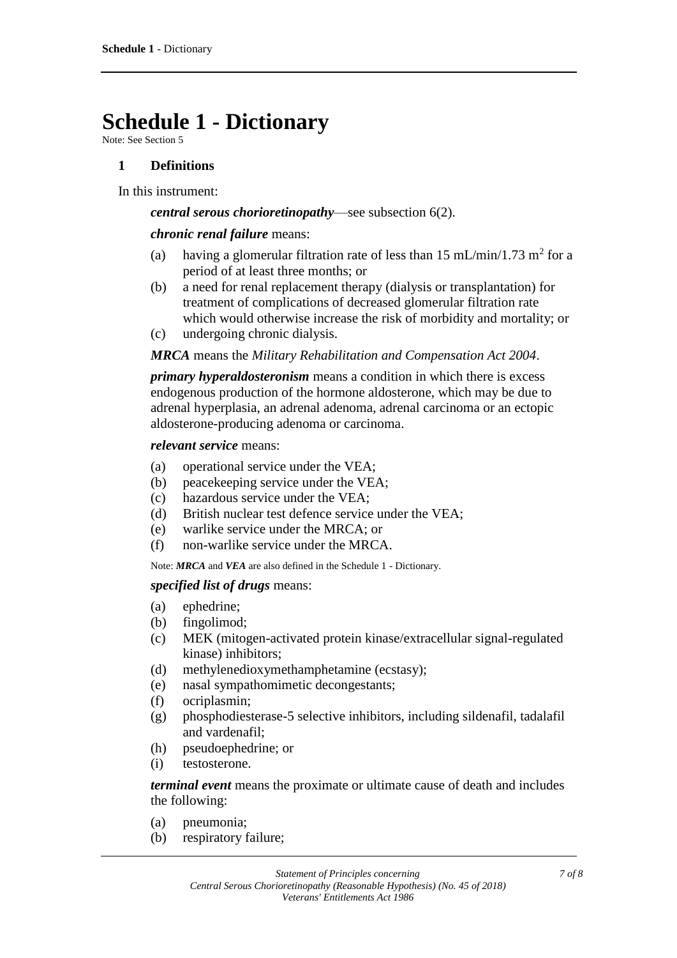## **Schedule 1 - Dictionary**

Note: See Section 5

#### **1 Definitions**

In this instrument:

#### *central serous chorioretinopathy*—see subsection 6(2).

#### *chronic renal failure* means:

- (a) having a glomerular filtration rate of less than 15 mL/min/1.73 m<sup>2</sup> for a period of at least three months; or
- (b) a need for renal replacement therapy (dialysis or transplantation) for treatment of complications of decreased glomerular filtration rate which would otherwise increase the risk of morbidity and mortality; or
- (c) undergoing chronic dialysis.

#### *MRCA* means the *Military Rehabilitation and Compensation Act 2004*.

*primary hyperaldosteronism* means a condition in which there is excess endogenous production of the hormone aldosterone, which may be due to adrenal hyperplasia, an adrenal adenoma, adrenal carcinoma or an ectopic aldosterone-producing adenoma or carcinoma.

#### *relevant service* means:

- (a) operational service under the VEA;
- (b) peacekeeping service under the VEA;
- (c) hazardous service under the VEA;
- (d) British nuclear test defence service under the VEA;
- (e) warlike service under the MRCA; or
- (f) non-warlike service under the MRCA.

Note: *MRCA* and *VEA* are also defined in the Schedule 1 - Dictionary.

#### *specified list of drugs* means:

- (a) ephedrine;
- (b) fingolimod;
- (c) MEK (mitogen-activated protein kinase/extracellular signal-regulated kinase) inhibitors;
- (d) methylenedioxymethamphetamine (ecstasy);
- (e) nasal sympathomimetic decongestants;
- (f) ocriplasmin;
- (g) phosphodiesterase-5 selective inhibitors, including sildenafil, tadalafil and vardenafil;
- (h) pseudoephedrine; or
- (i) testosterone.

*terminal event* means the proximate or ultimate cause of death and includes the following:

- (a) pneumonia;
- (b) respiratory failure;